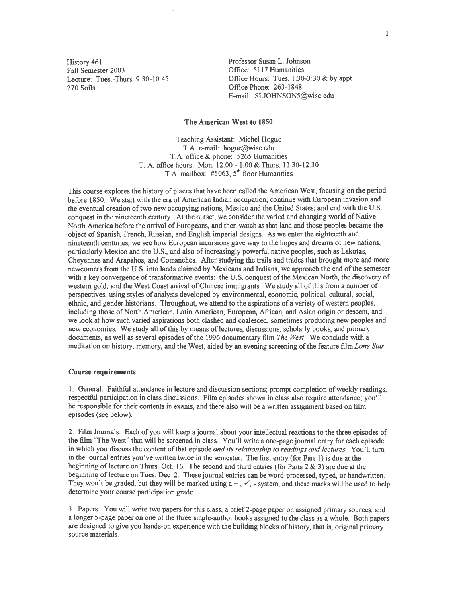History 461 Fall Semester 2003 Lecture: Tues.-Thurs. 9:30-10:45 270 Soils

Professor Susan L. Johnson Office: 5117 Humanities Office Hours: Tues. 1:30-3:30 & by appt. Office Phone: 263-1848 E-mail: SLJOHNSONS@wisc.edu

## **The American West to 1850**

Teaching Assistant: Michel Hogue T.A. e-mail: hogue@wisc.edu T .A. office & phone: 5265 Humanities T. A. office hours: Mon. 12:00- 1:00 & Thurs. 11:30-12:30 T.A. mailbox:  $\#5063$ ,  $5<sup>m</sup>$  floor Humanities

This course explores the history of places that have been called the American West, focusing on the period before 1850. We start with the era of American Indian occupation; continue with European invasion and the eventual creation of two new occupying nations, Mexico and the United States; and end with the U.S. conquest in the nineteenth century. At the outset, we consider the varied and changing world of Native North America before the arrival of Europeans, and then watch as that land and those peoples became the object of Spanish, French, Russian, and English imperial designs. As we enter the eighteenth and nineteenth centuries, we see how European incursions gave way to the hopes and dreams of new nations, particularly Mexico and the U.S., and also of increasingly powerful native peoples, such as Lakotas, Cheyennes and Arapahos, and Comanches. After studying the trails and trades that brought more and more newcomers from the U.S. into lands claimed by Mexicans and Indians, we approach the end of the semester with a key convergence of transformative events: the U.S. conquest of the Mexican North, the discovery of western gold, and the West Coast arrival of Chinese immigrants. We study all of this from a number of perspectives, using styles of analysis developed by environmental, economic, political, cultural, social, ethnic, and gender historians. Throughout, we attend to the aspirations of a variety of western peoples, including those of North American, Latin American, European, African, and Asian origin or descent, and we look at how such varied aspirations both clashed and coalesced, sometimes producing new peoples and new economies. We study all of this by means of lectures, discussions, scholarly books, and primary documents, as well as several episodes of the 1996 documentary film *The West.* We conclude with a meditation on history, memory, and the West, aided by an evening screening of the feature film *Lone Star.* 

### **Course requirements**

I. General: Faithful attendance in lecture and discussion sections; prompt completion of weekly readings; respectful participation in class discussions. Film episodes shown in class also require attendance; you'll be responsible for their contents in exams, and there also will be a written assignment based on film episodes (see below).

2. Film Journals: Each of you will keep a journal about your intellectual reactions to the three episodes of the film "The West" that will be screened in class. You'll write a one-page journal entry for each episode in which you discuss the content of that episode and *its relationship to readings and lectures.* You'll turn in the journal entries you've written twice in the semester. The first entry (for Part 1) is due at the beginning of lecture on Thurs. Oct. 16. The second and third entries (for Parts  $2 \& 3$ ) are due at the beginning of lecture on Tues. Dec. 2. These journal entries can be word-processed, typed, or handwritten. They won't be graded, but they will be marked using  $a +$ ,  $\checkmark$ , - system, and these marks will be used to help determine your course participation grade.

3. Papers: You will write two papers for this class, a brief 2-page paper on assigned primary sources, and a longer 5-page paper on one of the three single-author books assigned to the class as a whole. Both papers are designed to give you hands-on experience with the building blocks of history, that is, original primary source materials.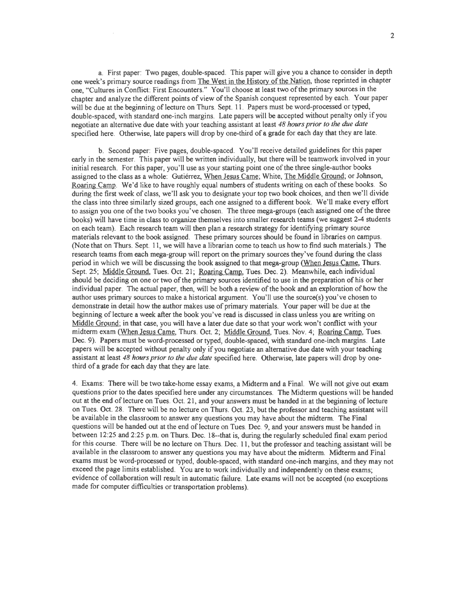a. First paper: Two pages, double-spaced. This paper will give you a chance to consider in depth one week's primary source readings from The West in the History of the Nation, those reprinted in chapter one, "Cultures in Conflict: First Encounters." You'll choose at least two of the primary sources in the chapter and analyze the different points of view of the Spanish conquest represented by each. Your paper will be due at the beginning of lecture on Thurs. Sept. 11. Papers must be word-processed or typed, double-spaced, with standard one-inch margins. Late papers will be accepted without penalty only if you negotiate an alternative due date with your teaching assistant at least *48 hours prior to the due date*  specified here. Otherwise, late papers will drop by one-third of a grade for each day that they are late.

b. Second paper: Five pages, double-spaced. You'll receive detailed guidelines for this paper early in the semester. This paper will be written individually, but there will be teamwork involved in your initial research. For this paper, you' ll use as your starting point one of the three single-author books assigned to the class as a whole: Gutiérrez, When Jesus Came; White, The Middle Ground; or Johnson, Roaring Camp. We'd like to have roughly equal numbers of students writing on each of these books. So during the first week of class, we'll ask you to designate your top two book choices, and then we'll divide the class into three similarly sized groups, each one assigned to a different book. We'll make every effort to assign you one of the two books you've chosen. The three mega-groups (each assigned one of the three books) will have time in class to organize themselves into smaller research teams (we suggest 2-4 students on each team). Each research team will then plan a research strategy for identifying primary source materials relevant to the book assigned. These primary sources should be found in libraries on campus. (Note that on Thurs. Sept. 11, we will have a librarian come to teach us how to find such materials.) The research teams from each mega-group will report on the primary sources they've found during the class period in which we will be discussing the book assigned to that mega-group (When Jesus Came, Thurs. Sept. 25; Middle Ground, Tues. Oct. 21; Roaring Camp, Tues. Dec. 2). Meanwhile, each individual should be deciding on one or two of the primary sources identified to use in the preparation of his or her individual paper. The actual paper, then, will be both a review of the book and an exploration of how the author uses primary sources to make a historical argument. You'll use the source(s) you've chosen to demonstrate in detail how the author makes use of primary materials. Your paper will be due at the beginning of lecture a week after the book you've read is discussed in class unless you are writing on Middle Ground; in that case, you will have a later due date so that your work won't conflict with your midterm exam (When Jesus Came, Thurs. Oct. 2; Middle Ground, Tues. Nov. 4; Roaring Camp, Tues. Dec. 9). Papers must be word-processed or typed, double-spaced, with standard one-inch margins. Late papers will be accepted without penalty only if you negotiate an alternative due date with your teaching assistant at least *48 hours prior to the due date* specified here. Otherwise, late papers will drop by onethird of a grade for each day that they are late.

4. Exams: There will be two take-home essay exams, a Midterm and a Final. We will not give out exam questions prior to the dates specified here under any circumstances. The Midterm questions will be handed out at the end of lecture on Tues. Oct. 21, and your answers must be handed in at the beginning of lecture on Tues. Oct. 28. There will be no lecture on Thurs. Oct. 23, but the professor and teaching assistant will be available in the classroom to answer any questions you may have about the midterm. The Final questions will be handed out at the end of lecture on Tues. Dec. 9, and your answers must be handed in between 12:25 and 2:25 p.m. on Thurs. Dec. 18--that is, during the regularly scheduled final exam period for this course. There will be no lecture on Thurs. Dec. 11, but the professor and teaching assistant will be available in the classroom to answer any questions you may have about the midterm. Midterm and Final exams must be word-processed or typed, double-spaced, with standard one-inch margins, and they may not exceed the page limits established. You are to work individually and independently on these exams; evidence of collaboration will result in automatic failure. Late exams will not be accepted (no exceptions made for computer difficulties or transportation problems).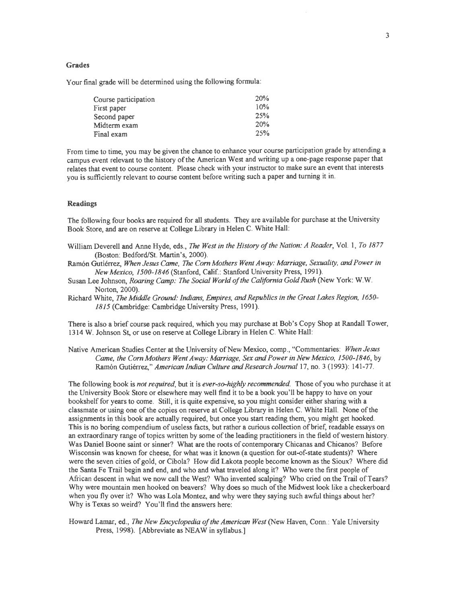#### **Grades**

Your final grade will be determined using the following formula:

| Course participation | 20% |
|----------------------|-----|
| First paper          | 10% |
| Second paper         | 25% |
| Midterm exam         | 20% |
| Final exam           | 25% |

From time to time, you may be given the chance to enhance your course participation grade by attending a campus event relevant to the history of the American West and writing up a one-page response paper that relates that event to course content. Please check with your instructor to make sure an event that interests you is sufficiently relevant to course content before writing such a paper and turning it in.

## **Readings**

The following four books are required for all students. They are available for purchase at the University Book Store, and are on reserve at College Library in Helen C. White Hall:

- William Deverell and Anne Hyde, eds., *The West in the History of the Nation: A Reader*, Vol. 1, To 1877 (Boston: Bedford/St. Martin's, 2000).
- Ramon Gutierrez, *When Jesus Came,* The *Corn Mothers Went Away: Marriage, Sexuality, and Power in New Mexico, 1500-1846* (Stanford, Calif.: Stanford University Press, 1991).
- Susan Lee Johnson, *Roaring Camp: The Social World of the California Gold Rush* (New York: W.W. Norton, 2000).
- Richard White, *The Middle Ground: Indians, Empires, and Republics in the Great Lakes Region, 1650- 1815* (Cambridge: Cambridge University Press, 1991).

There is also a brief course pack required, which you may purchase at Bob's Copy Shop at Randall Tower, 1314 W. Johnson St, or use on reserve at College Library in Helen C. White Hall:

Native American Studies Center at the University of New Mexico, comp., "Commentaries: *When Jesus Came, the Corn Mothers Went Away: Marriage, Sex and Power in New Mexico, 1500-1846,* by Ramón Gutiérrez," *American Indian Culture and Research Journal* 17, no. 3 (1993): 141-77.

The following book is *not required,* but it is *ever-so-highly recommended.* Those of you who purchase it at the University Book Store or elsewhere may well find it to be a book you'll be happy to have on your bookshelf for years to come. Still, it is quite expensive, so you might consider either sharing with a classmate or using one of the copies on reserve at College Library in Helen C. White Hall. None of the assignments in this book are actually required, but once you start reading them, you might get hooked. This is no boring compendium of useless facts, but rather a curious collection of brief, readable essays on an extraordinary range of topics written by some of the leading practitioners in the field of western history. Was Daniel Boone saint or sinner? What are the roots of contemporary Chicanas and Chicanos? Before Wisconsin was known for cheese, for what was it known (a question for out-of-state students)? Where were the seven cities of gold, or Cibola? How did Lakota people become known as the Sioux? Where did the Santa Fe Trail begin and end, and who and what traveled along it? Who were the first people of African descent in what we now call the West? Who invented scalping? Who cried on the Trail of Tears? Why were mountain men hooked on beavers? Why does so much of the Midwest look like a checkerboard when you fly over it? Who was Lola Montez, and why were they saying such awful things about her? Why is Texas so weird? You'll find the answers here:

Howard Lamar, ed., *The New Encyclopedia of the American West* (New Haven, Conn.: Yale University Press, 1998). [Abbreviate as NEAW in syllabus.]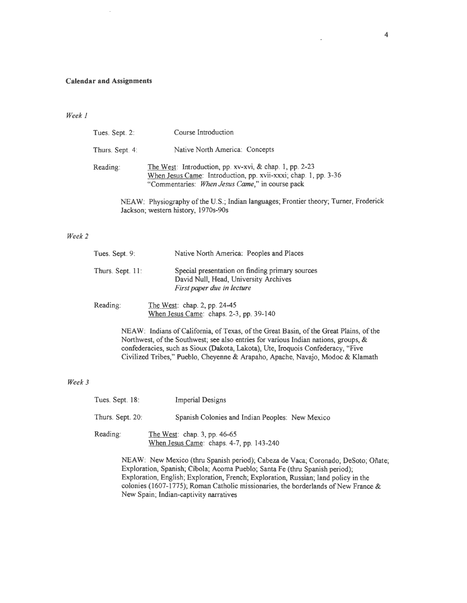#### **Calendar and Assignments**

# *Week 1*

| Tues. Sept. 2:  | Course Introduction                                                                                                                                                           |
|-----------------|-------------------------------------------------------------------------------------------------------------------------------------------------------------------------------|
| Thurs. Sept. 4: | Native North America: Concepts                                                                                                                                                |
| Reading:        | The West: Introduction, pp. xv-xvi, & chap. 1, pp. 2-23<br>When Jesus Came: Introduction, pp. xvii-xxxi; chap. 1, pp. 3-36<br>"Commentaries: When Jesus Came," in course pack |
|                 | NEAW: Physiography of the U.S.; Indian languages; Frontier theory; Turner, Frederick                                                                                          |
|                 | Jackson; western history, 1970s-90s                                                                                                                                           |

## *Week2*

| Tues. Sept. 9:   | Native North America: Peoples and Places                                                                               |
|------------------|------------------------------------------------------------------------------------------------------------------------|
| Thurs. Sept. 11: | Special presentation on finding primary sources<br>David Null, Head, University Archives<br>First paper due in lecture |
|                  |                                                                                                                        |

Reading: The West: chap. 2, pp. 24-45 When Jesus Came: chaps. 2-3, pp. 39-140

> NEAW: Indians of California, of Texas, of the Great Basin, of the Great Plains, of the Northwest, of the Southwest; see also entries for various Indian nations, groups, & confederacies, such as Sioux (Dakota, Lakota), Ute, Iroquois Confederacy, "Five Civilized Tribes," Pueblo, Cheyenne & Arapaho, Apache, Navajo, Modoc & Klamath

# *Week3*

| Tues. Sept. $18$ : | <b>Imperial Designs</b>                                                    |
|--------------------|----------------------------------------------------------------------------|
| Thurs. Sept. 20:   | Spanish Colonies and Indian Peoples: New Mexico                            |
| Reading:           | The West: chap. 3, pp. $46-65$<br>When Jesus Came: chaps. 4-7, pp. 143-240 |

NEAW: New Mexico (thru Spanish period); Cabeza de Vaca; Coronado; DeSoto; Onate; Exploration, Spanish; Cíbola; Acoma Pueblo; Santa Fe (thru Spanish period); Exploration, English; Exploration, French; Exploration, Russian; land policy in the colonies (1607-1775); Roman Catholic missionaries, the borderlands of New France  $\&$ New Spain; Indian-captivity narratives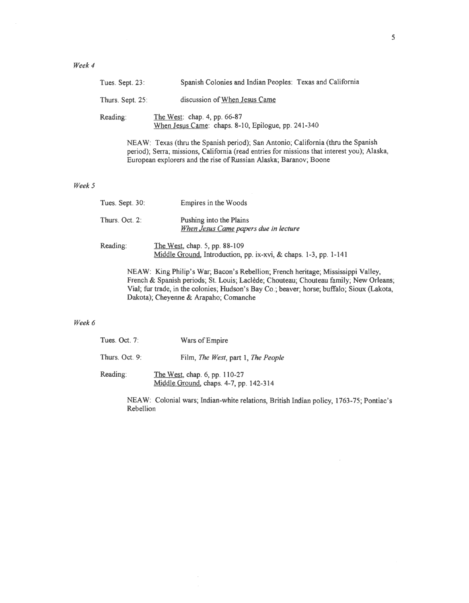|        | Tues. Sept. 23:                                                                                                                                                                                                                                                                                                  | Spanish Colonies and Indian Peoples: Texas and California                                                                                                                                                                                            |
|--------|------------------------------------------------------------------------------------------------------------------------------------------------------------------------------------------------------------------------------------------------------------------------------------------------------------------|------------------------------------------------------------------------------------------------------------------------------------------------------------------------------------------------------------------------------------------------------|
|        | Thurs. Sept. 25:                                                                                                                                                                                                                                                                                                 | discussion of When Jesus Came                                                                                                                                                                                                                        |
|        | Reading:                                                                                                                                                                                                                                                                                                         | The West: chap. 4, pp. 66-87<br>When Jesus Came: chaps. 8-10, Epilogue, pp. 241-340                                                                                                                                                                  |
|        |                                                                                                                                                                                                                                                                                                                  | NEAW: Texas (thru the Spanish period); San Antonio; California (thru the Spanish<br>period); Serra; missions, California (read entries for missions that interest you); Alaska,<br>European explorers and the rise of Russian Alaska; Baranov; Boone |
| Week 5 |                                                                                                                                                                                                                                                                                                                  |                                                                                                                                                                                                                                                      |
|        | Tues. Sept. 30:                                                                                                                                                                                                                                                                                                  | Empires in the Woods                                                                                                                                                                                                                                 |
|        | Thurs. Oct. 2:                                                                                                                                                                                                                                                                                                   | Pushing into the Plains<br>When Jesus Came papers due in lecture                                                                                                                                                                                     |
|        | Reading:                                                                                                                                                                                                                                                                                                         | The West, chap. $5$ , pp. 88-109<br>Middle Ground, Introduction, pp. ix-xvi, & chaps. 1-3, pp. 1-141                                                                                                                                                 |
|        | NEAW: King Philip's War; Bacon's Rebellion; French heritage; Mississippi Valley,<br>French & Spanish periods; St. Louis; Laclède; Chouteau; Chouteau family; New Orleans;<br>Vial; fur trade, in the colonies; Hudson's Bay Co.; beaver; horse; buffalo; Sioux (Lakota,<br>Dakota); Cheyenne & Arapaho; Comanche |                                                                                                                                                                                                                                                      |
| Week 6 |                                                                                                                                                                                                                                                                                                                  |                                                                                                                                                                                                                                                      |
|        | Tues. Oct. 7:                                                                                                                                                                                                                                                                                                    | Wars of Empire                                                                                                                                                                                                                                       |

Thurs. Oct. 9: Film, *The West,* part 1, *The People*  Reading: The West, chap. 6, pp. 110-27

Middle Ground, chaps. 4-7, pp. 142-314

 $\hat{\boldsymbol{\beta}}$  $\hat{\mathcal{A}}$ 

NEAW: Colonial wars; Indian-white relations, British Indian policy, 1763-75; Pontiac's Rebellion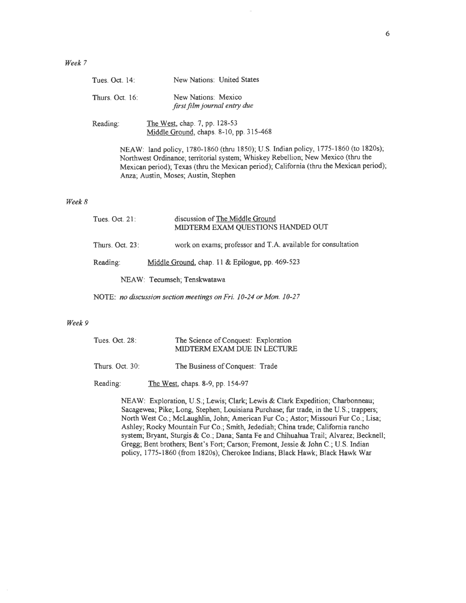| Tues. Oct. 14:  | New Nations: United States                                               |
|-----------------|--------------------------------------------------------------------------|
| Thurs. Oct. 16: | New Nations: Mexico<br>first film journal entry due                      |
| Reading:        | The West, chap. 7, pp. 128-53<br>Middle Ground, chaps. 8-10, pp. 315-468 |

NEAW: land policy, 1780-1860 (thru 1850); U.S. Indian policy, 1775-1860 (to 1820s); Northwest Ordinance; territorial system; Whiskey Rebellion; New Mexico (thru the Mexican period); Texas (thru the Mexican period); California (thru the Mexican period); Anza; Austin, Moses; Austin, Stephen

### Week  $8$

| Tues. $Oct. 21$ : | discussion of The Middle Ground<br>MIDTERM EXAM QUESTIONS HANDED OUT |
|-------------------|----------------------------------------------------------------------|
| Thurs. Oct. 23:   | work on exams; professor and T.A. available for consultation         |
| Reading:          | Middle Ground, chap. 11 & Epilogue, pp. 469-523                      |
|                   | NEAW: Tecumseh; Tenskwatawa                                          |

NOTE: *no discussion section meetings on Fri. 10-24 or Mon. 10-27* 

### *Week9*

| Tues. Oct. 28:  | The Science of Conquest: Exploration<br>MIDTERM EXAM DUE IN LECTURE |
|-----------------|---------------------------------------------------------------------|
| Thurs. Oct. 30: | The Business of Conquest: Trade                                     |
| Reading:        | The West, chaps. 8-9, pp. 154-97                                    |

NEAW: Exploration, U.S.; Lewis; Clark; Lewis & Clark Expedition; Charbonneau; Sacagewea; Pike; Long, Stephen; Louisiana Purchase; fur trade, in the U.S.; trappers; North West Co.; McLaughlin, John; American Fur Co.; Astor; Missouri Fur Co.; Lisa; Ashley; Rocky Mountain Fur Co.; Smith, Jedediah; China trade; California rancho system; Bryant, Sturgis & Co.; Dana; Santa Fe and Chihuahua Trail; Alvarez; Becknell; Gregg; Bent brothers; Bent's Fort; Carson; Fremont, Jessie & John C.; U.S. Indian policy, 1775-1860 (from 1820s); Cherokee Indians; Black Hawk; Black Hawk War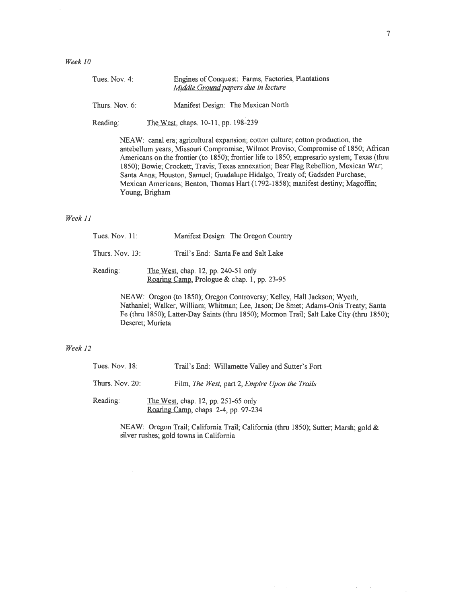*Week 10* 

| Tues, Nov. 4. | Engines of Conquest: Farms, Factories, Plantations |
|---------------|----------------------------------------------------|
|               | Middle Ground papers due in lecture                |
|               |                                                    |

Thurs. Nov. 6: Manifest Design: The Mexican North

Reading: The West, chaps. 10-11, pp. 198-239

NEAW: canal era; agricultural expansion; cotton culture; cotton production, the antebellum years; Missouri Compromise; Wilmot Proviso; Compromise of 1850; African Americans on the frontier (to 1850); frontier life to 1850; empresario system; Texas (thru 1850); Bowie; Crockett; Travis; Texas annexation; Bear Flag Rebellion; Mexican War; Santa Anna; Houston, Samuel; Guadalupe Hidalgo, Treaty of; Gadsden Purchase; Mexican Americans; Benton, Thomas Hart (1792-1858); manifest destiny; Magoffin; Young, Brigham

### *Week 11*

| Tues. Nov. $11$ :  | Manifest Design: The Oregon Country                                                |
|--------------------|------------------------------------------------------------------------------------|
| Thurs. Nov. $13$ : | Trail's End: Santa Fe and Salt Lake                                                |
| Reading:           | The West, chap. 12, pp. 240-51 only<br>Roaring Camp, Prologue & chap. 1, pp. 23-95 |

NEAW: Oregon (to 1850); Oregon Controversy; Kelley, Hall Jackson; Wyeth, Nathaniel; Walker, William; Whitman; Lee, Jason; De Smet; Adams-Onis Treaty; Santa Fe (thru 1850); Latter-Day Saints (thru 1850); Mormon Trail; Salt Lake City (thru 1850); Deseret; Murieta

## *Week 12*

| Tues. Nov. 18:  | Trail's End: Willamette Valley and Sutter's Fort                            |
|-----------------|-----------------------------------------------------------------------------|
| Thurs. Nov. 20: | Film, The West, part 2, Empire Upon the Trails                              |
| Reading:        | The West, chap. 12, pp. 251-65 only<br>Roaring Camp, chaps. 2-4, pp. 97-234 |

NEAW: Oregon Trail; California Trail; California (thru 1850); Sutter; Marsh; gold & silver rushes; gold towns in California

 $\mathcal{A}^{\mathcal{A}}$  and  $\mathcal{A}^{\mathcal{A}}$  and  $\mathcal{A}^{\mathcal{A}}$  and  $\mathcal{A}^{\mathcal{A}}$